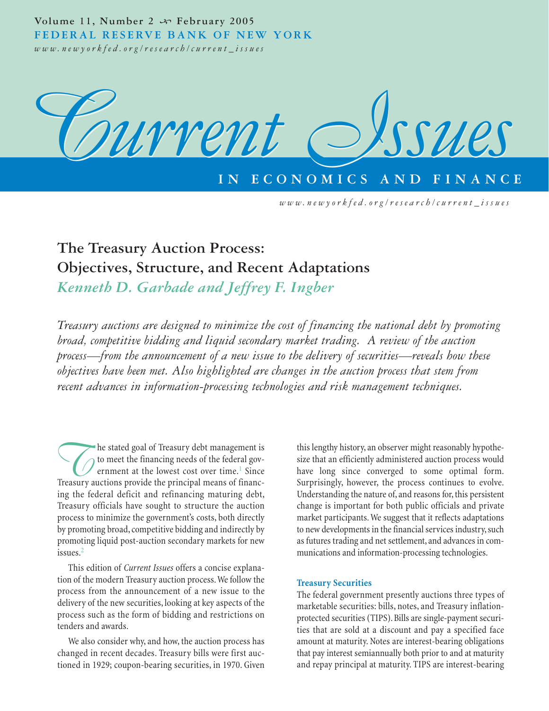Volume 11, Number 2  $\rightsquigarrow$  February 2005 **FEDERAL RESERVE BANK OF NEW YORK** *www.newyorkfed.org/research/current\_issues*



**ECONOMICS** 

*www.newyorkfed.org/research/current\_issues*

# **The Treasury Auction Process: Objectives, Structure, and Recent Adaptations**

*Kenneth D. Garbade and Jeffrey F. Ingber*

*Treasury auctions are designed to minimize the cost of financing the national debt by promoting broad, competitive bidding and liquid secondary market trading. A review of the auction process—from the announcement of a new issue to the delivery of securities—reveals how these objectives have been met. Also highlighted are changes in the auction process that stem from recent advances in information-processing technologies and risk management techniques.*

The stated goal of Treasury debt management is<br>to meet the financing needs of the federal government at the lowest cost over time.<sup>1</sup> Since<br>Treasury auctions provide the principal means of financto meet the financing needs of the federal government at the lowest cost over time.<sup>1</sup> Since Treasury auctions provide the principal means of financing the federal deficit and refinancing maturing debt, Treasury officials have sought to structure the auction process to minimize the government's costs, both directly by promoting broad, competitive bidding and indirectly by promoting liquid post-auction secondary markets for new issues.<sup>2</sup>

This edition of *Current Issues* offers a concise explanation of the modern Treasury auction process. We follow the process from the announcement of a new issue to the delivery of the new securities, looking at key aspects of the process such as the form of bidding and restrictions on tenders and awards.

We also consider why, and how, the auction process has changed in recent decades. Treasury bills were first auctioned in 1929; coupon-bearing securities, in 1970. Given

this lengthy history, an observer might reasonably hypothesize that an efficiently administered auction process would have long since converged to some optimal form. Surprisingly, however, the process continues to evolve. Understanding the nature of, and reasons for, this persistent change is important for both public officials and private market participants. We suggest that it reflects adaptations to new developments in the financial services industry, such as futures trading and net settlement, and advances in communications and information-processing technologies.

# **Treasury Securities**

The federal government presently auctions three types of marketable securities: bills, notes, and Treasury inflationprotected securities (TIPS). Bills are single-payment securities that are sold at a discount and pay a specified face amount at maturity. Notes are interest-bearing obligations that pay interest semiannually both prior to and at maturity and repay principal at maturity. TIPS are interest-bearing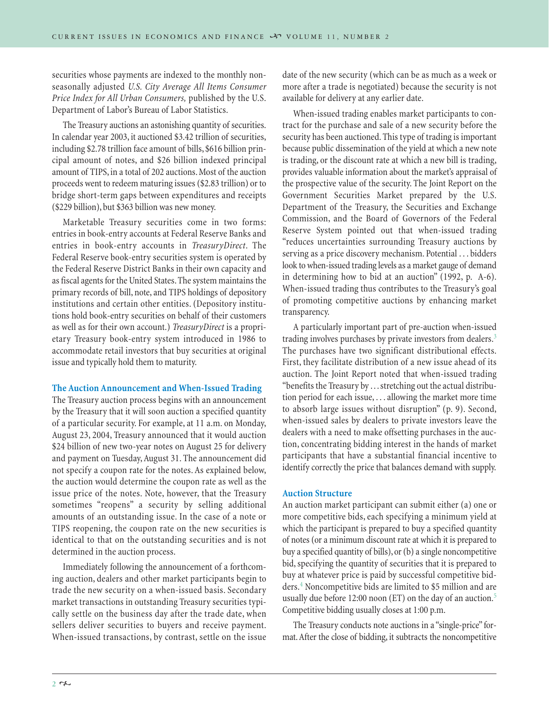securities whose payments are indexed to the monthly nonseasonally adjusted *U.S. City Average All Items Consumer Price Index for All Urban Consumers,* published by the U.S. Department of Labor's Bureau of Labor Statistics.

The Treasury auctions an astonishing quantity of securities. In calendar year 2003, it auctioned \$3.42 trillion of securities, including \$2.78 trillion face amount of bills, \$616 billion principal amount of notes, and \$26 billion indexed principal amount of TIPS, in a total of 202 auctions. Most of the auction proceeds went to redeem maturing issues (\$2.83 trillion) or to bridge short-term gaps between expenditures and receipts (\$229 billion), but \$363 billion was new money.

Marketable Treasury securities come in two forms: entries in book-entry accounts at Federal Reserve Banks and entries in book-entry accounts in *TreasuryDirect*. The Federal Reserve book-entry securities system is operated by the Federal Reserve District Banks in their own capacity and as fiscal agents for the United States. The system maintains the primary records of bill, note, and TIPS holdings of depository institutions and certain other entities. (Depository institutions hold book-entry securities on behalf of their customers as well as for their own account.) *TreasuryDirect* is a proprietary Treasury book-entry system introduced in 1986 to accommodate retail investors that buy securities at original issue and typically hold them to maturity.

# **The Auction Announcement and When-Issued Trading**

The Treasury auction process begins with an announcement by the Treasury that it will soon auction a specified quantity of a particular security. For example, at 11 a.m. on Monday, August 23, 2004, Treasury announced that it would auction \$24 billion of new two-year notes on August 25 for delivery and payment on Tuesday, August 31. The announcement did not specify a coupon rate for the notes. As explained below, the auction would determine the coupon rate as well as the issue price of the notes. Note, however, that the Treasury sometimes "reopens" a security by selling additional amounts of an outstanding issue. In the case of a note or TIPS reopening, the coupon rate on the new securities is identical to that on the outstanding securities and is not determined in the auction process.

Immediately following the announcement of a forthcoming auction, dealers and other market participants begin to trade the new security on a when-issued basis. Secondary market transactions in outstanding Treasury securities typically settle on the business day after the trade date, when sellers deliver securities to buyers and receive payment. When-issued transactions, by contrast, settle on the issue

date of the new security (which can be as much as a week or more after a trade is negotiated) because the security is not available for delivery at any earlier date.

When-issued trading enables market participants to contract for the purchase and sale of a new security before the security has been auctioned. This type of trading is important because public dissemination of the yield at which a new note is trading, or the discount rate at which a new bill is trading, provides valuable information about the market's appraisal of the prospective value of the security. The Joint Report on the Government Securities Market prepared by the U.S. Department of the Treasury, the Securities and Exchange Commission, and the Board of Governors of the Federal Reserve System pointed out that when-issued trading "reduces uncertainties surrounding Treasury auctions by serving as a price discovery mechanism. Potential . . . bidders look to when-issued trading levels as a market gauge of demand in determining how to bid at an auction" (1992, p. A-6). When-issued trading thus contributes to the Treasury's goal of promoting competitive auctions by enhancing market transparency.

A particularly important part of pre-auction when-issued trading involves purchases by private investors from dealers.<sup>3</sup> The purchases have two significant distributional effects. First, they facilitate distribution of a new issue ahead of its auction. The Joint Report noted that when-issued trading "benefits the Treasury by . . . stretching out the actual distribution period for each issue, . . . allowing the market more time to absorb large issues without disruption" (p. 9). Second, when-issued sales by dealers to private investors leave the dealers with a need to make offsetting purchases in the auction, concentrating bidding interest in the hands of market participants that have a substantial financial incentive to identify correctly the price that balances demand with supply.

## **Auction Structure**

An auction market participant can submit either (a) one or more competitive bids, each specifying a minimum yield at which the participant is prepared to buy a specified quantity of notes (or a minimum discount rate at which it is prepared to buy a specified quantity of bills), or (b) a single noncompetitive bid, specifying the quantity of securities that it is prepared to buy at whatever price is paid by successful competitive bidders.<sup>4</sup> Noncompetitive bids are limited to \$5 million and are usually due before 12:00 noon (ET) on the day of an auction.<sup>5</sup> Competitive bidding usually closes at 1:00 p.m.

The Treasury conducts note auctions in a "single-price" format. After the close of bidding, it subtracts the noncompetitive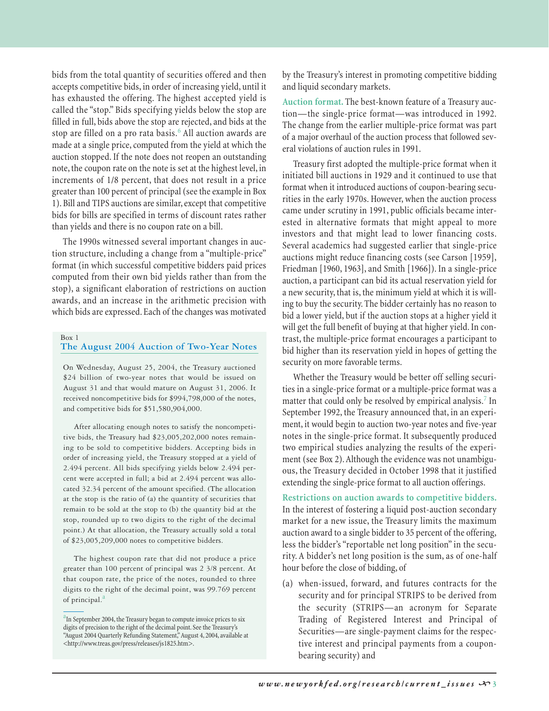bids from the total quantity of securities offered and then accepts competitive bids, in order of increasing yield, until it has exhausted the offering. The highest accepted yield is called the "stop." Bids specifying yields below the stop are filled in full, bids above the stop are rejected, and bids at the stop are filled on a pro rata basis.<sup>6</sup> All auction awards are made at a single price, computed from the yield at which the auction stopped. If the note does not reopen an outstanding note, the coupon rate on the note is set at the highest level, in increments of 1/8 percent, that does not result in a price greater than 100 percent of principal (see the example in Box 1). Bill and TIPS auctions are similar, except that competitive bids for bills are specified in terms of discount rates rather than yields and there is no coupon rate on a bill.

The 1990s witnessed several important changes in auction structure, including a change from a "multiple-price" format (in which successful competitive bidders paid prices computed from their own bid yields rather than from the stop), a significant elaboration of restrictions on auction awards, and an increase in the arithmetic precision with which bids are expressed. Each of the changes was motivated

# Box 1

# **The August 2004 Auction of Two-Year Notes**

On Wednesday, August 25, 2004, the Treasury auctioned \$24 billion of two-year notes that would be issued on August 31 and that would mature on August 31, 2006. It received noncompetitive bids for \$994,798,000 of the notes, and competitive bids for \$51,580,904,000.

After allocating enough notes to satisfy the noncompetitive bids, the Treasury had \$23,005,202,000 notes remaining to be sold to competitive bidders. Accepting bids in order of increasing yield, the Treasury stopped at a yield of 2.494 percent. All bids specifying yields below 2.494 percent were accepted in full; a bid at 2.494 percent was allocated 32.34 percent of the amount specified. (The allocation at the stop is the ratio of (a) the quantity of securities that remain to be sold at the stop to (b) the quantity bid at the stop, rounded up to two digits to the right of the decimal point.) At that allocation, the Treasury actually sold a total of \$23,005,209,000 notes to competitive bidders.

The highest coupon rate that did not produce a price greater than 100 percent of principal was 2 3/8 percent. At that coupon rate, the price of the notes, rounded to three digits to the right of the decimal point, was 99.769 percent of principal.<sup>a</sup>

by the Treasury's interest in promoting competitive bidding and liquid secondary markets.

**Auction format.** The best-known feature of a Treasury auction—the single-price format—was introduced in 1992. The change from the earlier multiple-price format was part of a major overhaul of the auction process that followed several violations of auction rules in 1991.

Treasury first adopted the multiple-price format when it initiated bill auctions in 1929 and it continued to use that format when it introduced auctions of coupon-bearing securities in the early 1970s. However, when the auction process came under scrutiny in 1991, public officials became interested in alternative formats that might appeal to more investors and that might lead to lower financing costs. Several academics had suggested earlier that single-price auctions might reduce financing costs (see Carson [1959], Friedman [1960, 1963], and Smith [1966]). In a single-price auction, a participant can bid its actual reservation yield for a new security, that is, the minimum yield at which it is willing to buy the security. The bidder certainly has no reason to bid a lower yield, but if the auction stops at a higher yield it will get the full benefit of buying at that higher yield. In contrast, the multiple-price format encourages a participant to bid higher than its reservation yield in hopes of getting the security on more favorable terms.

Whether the Treasury would be better off selling securities in a single-price format or a multiple-price format was a matter that could only be resolved by empirical analysis.<sup>7</sup> In September 1992, the Treasury announced that, in an experiment, it would begin to auction two-year notes and five-year notes in the single-price format. It subsequently produced two empirical studies analyzing the results of the experiment (see Box 2). Although the evidence was not unambiguous, the Treasury decided in October 1998 that it justified extending the single-price format to all auction offerings.

**Restrictions on auction awards to competitive bidders.** In the interest of fostering a liquid post-auction secondary market for a new issue, the Treasury limits the maximum auction award to a single bidder to 35 percent of the offering, less the bidder's "reportable net long position" in the security. A bidder's net long position is the sum, as of one-half hour before the close of bidding, of

(a) when-issued, forward, and futures contracts for the security and for principal STRIPS to be derived from the security (STRIPS—an acronym for Separate Trading of Registered Interest and Principal of Securities—are single-payment claims for the respective interest and principal payments from a couponbearing security) and

<sup>&</sup>lt;sup>a</sup>In September 2004, the Treasury began to compute invoice prices to six digits of precision to the right of the decimal point. See the Treasury's "August 2004 Quarterly Refunding Statement,"August 4, 2004, available at <http://www.treas.gov/press/releases/js1825.htm>.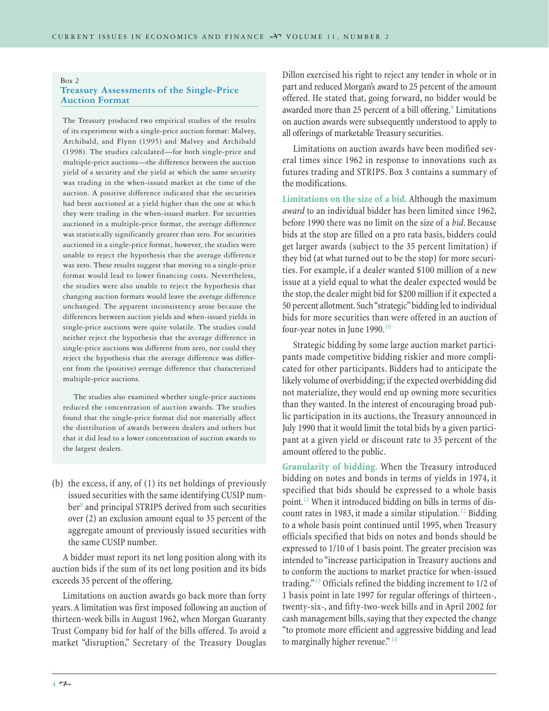#### Box 2 **Treasury Assessments of the Single-Price Auction Format**

The Treasury produced two empirical studies of the results of its experiment with a single-price auction format: Malvey, Archibald, and Flynn (1995) and Malvey and Archibald (1998). The studies calculated—for both single-price and multiple-price auctions—the difference between the auction yield of a security and the yield at which the same security was trading in the when-issued market at the time of the auction. A positive difference indicated that the securities had been auctioned at a yield higher than the one at which they were trading in the when-issued market. For securities auctioned in a multiple-price format, the average difference was statistically significantly greater than zero. For securities auctioned in a single-price format, however, the studies were unable to reject the hypothesis that the average difference was zero. These results suggest that moving to a single-price format would lead to lower financing costs. Nevertheless, the studies were also unable to reject the hypothesis that changing auction formats would leave the average difference unchanged. The apparent inconsistency arose because the differences between auction yields and when-issued yields in single-price auctions were quite volatile. The studies could neither reject the hypothesis that the average difference in single-price auctions was different from zero, nor could they reject the hypothesis that the average difference was different from the (positive) average difference that characterized multiple-price auctions.

The studies also examined whether single-price auctions reduced the concentration of auction awards. The studies found that the single-price format did not materially affect the distribution of awards between dealers and others but that it did lead to a lower concentration of auction awards to the largest dealers.

(b) the excess, if any, of (1) its net holdings of previously issued securities with the same identifying CUSIP number<sup>8</sup> and principal STRIPS derived from such securities over (2) an exclusion amount equal to 35 percent of the aggregate amount of previously issued securities with the same CUSIP number.

A bidder must report its net long position along with its auction bids if the sum of its net long position and its bids exceeds 35 percent of the offering.

Limitations on auction awards go back more than forty years. A limitation was first imposed following an auction of thirteen-week bills in August 1962, when Morgan Guaranty Trust Company bid for half of the bills offered. To avoid a market "disruption," Secretary of the Treasury Douglas

Dillon exercised his right to reject any tender in whole or in part and reduced Morgan's award to 25 percent of the amount offered. He stated that, going forward, no bidder would be awarded more than 25 percent of a bill offering.<sup>9</sup> Limitations on auction awards were subsequently understood to apply to all offerings of marketable Treasury securities.

Limitations on auction awards have been modified several times since 1962 in response to innovations such as futures trading and STRIPS. Box 3 contains a summary of the modifications.

**Limitations on the size of a bid.** Although the maximum *award* to an individual bidder has been limited since 1962, before 1990 there was no limit on the size of a *bid*. Because bids at the stop are filled on a pro rata basis, bidders could get larger awards (subject to the 35 percent limitation) if they bid (at what turned out to be the stop) for more securities. For example, if a dealer wanted \$100 million of a new issue at a yield equal to what the dealer expected would be the stop, the dealer might bid for \$200 million if it expected a 50 percent allotment. Such "strategic" bidding led to individual bids for more securities than were offered in an auction of four-year notes in June 1990.<sup>10</sup>

Strategic bidding by some large auction market participants made competitive bidding riskier and more complicated for other participants. Bidders had to anticipate the likely volume of overbidding; if the expected overbidding did not materialize, they would end up owning more securities than they wanted. In the interest of encouraging broad public participation in its auctions, the Treasury announced in July 1990 that it would limit the total bids by a given participant at a given yield or discount rate to 35 percent of the amount offered to the public.

**Granularity of bidding.** When the Treasury introduced bidding on notes and bonds in terms of yields in 1974, it specified that bids should be expressed to a whole basis point.<sup>11</sup> When it introduced bidding on bills in terms of discount rates in 1983, it made a similar stipulation.<sup>12</sup> Bidding to a whole basis point continued until 1995, when Treasury officials specified that bids on notes and bonds should be expressed to 1/10 of 1 basis point. The greater precision was intended to "increase participation in Treasury auctions and to conform the auctions to market practice for when-issued trading."<sup>13</sup> Officials refined the bidding increment to 1/2 of 1 basis point in late 1997 for regular offerings of thirteen-, twenty-six-, and fifty-two-week bills and in April 2002 for cash management bills, saying that they expected the change "to promote more efficient and aggressive bidding and lead to marginally higher revenue."<sup>14</sup>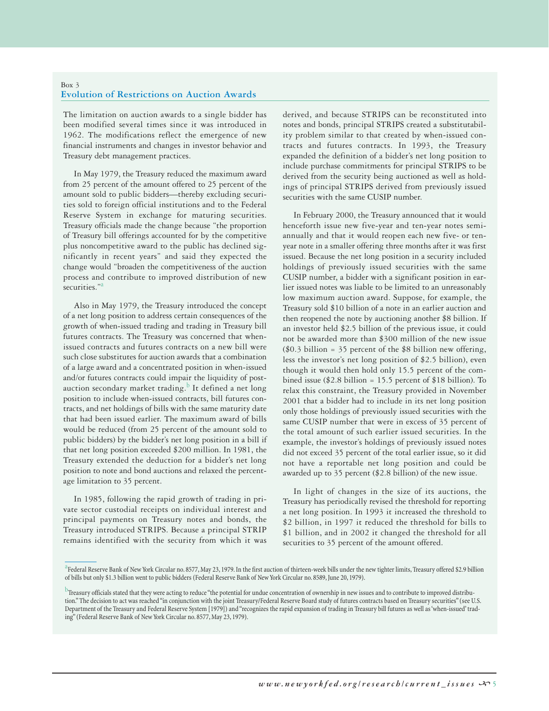## Box 3 **Evolution of Restrictions on Auction Awards**

The limitation on auction awards to a single bidder has been modified several times since it was introduced in 1962. The modifications reflect the emergence of new financial instruments and changes in investor behavior and Treasury debt management practices.

In May 1979, the Treasury reduced the maximum award from 25 percent of the amount offered to 25 percent of the amount sold to public bidders—thereby excluding securities sold to foreign official institutions and to the Federal Reserve System in exchange for maturing securities. Treasury officials made the change because "the proportion of Treasury bill offerings accounted for by the competitive plus noncompetitive award to the public has declined significantly in recent years" and said they expected the change would "broaden the competitiveness of the auction process and contribute to improved distribution of new securities."<sup>a</sup>

Also in May 1979, the Treasury introduced the concept of a net long position to address certain consequences of the growth of when-issued trading and trading in Treasury bill futures contracts. The Treasury was concerned that whenissued contracts and futures contracts on a new bill were such close substitutes for auction awards that a combination of a large award and a concentrated position in when-issued and/or futures contracts could impair the liquidity of postauction secondary market trading. $\frac{b}{c}$  It defined a net long position to include when-issued contracts, bill futures contracts, and net holdings of bills with the same maturity date that had been issued earlier. The maximum award of bills would be reduced (from 25 percent of the amount sold to public bidders) by the bidder's net long position in a bill if that net long position exceeded \$200 million. In 1981, the Treasury extended the deduction for a bidder's net long position to note and bond auctions and relaxed the percentage limitation to 35 percent.

In 1985, following the rapid growth of trading in private sector custodial receipts on individual interest and principal payments on Treasury notes and bonds, the Treasury introduced STRIPS. Because a principal STRIP remains identified with the security from which it was derived, and because STRIPS can be reconstituted into notes and bonds, principal STRIPS created a substitutability problem similar to that created by when-issued contracts and futures contracts. In 1993, the Treasury expanded the definition of a bidder's net long position to include purchase commitments for principal STRIPS to be derived from the security being auctioned as well as holdings of principal STRIPS derived from previously issued securities with the same CUSIP number.

In February 2000, the Treasury announced that it would henceforth issue new five-year and ten-year notes semiannually and that it would reopen each new five- or tenyear note in a smaller offering three months after it was first issued. Because the net long position in a security included holdings of previously issued securities with the same CUSIP number, a bidder with a significant position in earlier issued notes was liable to be limited to an unreasonably low maximum auction award. Suppose, for example, the Treasury sold \$10 billion of a note in an earlier auction and then reopened the note by auctioning another \$8 billion. If an investor held \$2.5 billion of the previous issue, it could not be awarded more than \$300 million of the new issue ( $$0.3$  billion = 35 percent of the  $$8$  billion new offering, less the investor's net long position of \$2.5 billion), even though it would then hold only 15.5 percent of the combined issue (\$2.8 billion = 15.5 percent of \$18 billion). To relax this constraint, the Treasury provided in November 2001 that a bidder had to include in its net long position only those holdings of previously issued securities with the same CUSIP number that were in excess of 35 percent of the total amount of such earlier issued securities. In the example, the investor's holdings of previously issued notes did not exceed 35 percent of the total earlier issue, so it did not have a reportable net long position and could be awarded up to 35 percent (\$2.8 billion) of the new issue.

In light of changes in the size of its auctions, the Treasury has periodically revised the threshold for reporting a net long position. In 1993 it increased the threshold to \$2 billion, in 1997 it reduced the threshold for bills to \$1 billion, and in 2002 it changed the threshold for all securities to 35 percent of the amount offered.

<sup>&</sup>lt;sup>a</sup> Federal Reserve Bank of New York Circular no. 8577, May 23, 1979. In the first auction of thirteen-week bills under the new tighter limits, Treasury offered \$2.9 billion of bills but only \$1.3 billion went to public bidders (Federal Reserve Bank of New York Circular no. 8589, June 20, 1979).

 $^{\rm b}$ Treasury officials stated that they were acting to reduce "the potential for undue concentration of ownership in new issues and to contribute to improved distribution." The decision to act was reached "in conjunction with the joint Treasury/Federal Reserve Board study of futures contracts based on Treasury securities" (see U.S. Department of the Treasury and Federal Reserve System [1979]) and "recognizes the rapid expansion of trading in Treasury bill futures as well as 'when-issued' trading" (Federal Reserve Bank of New York Circular no. 8577, May 23, 1979).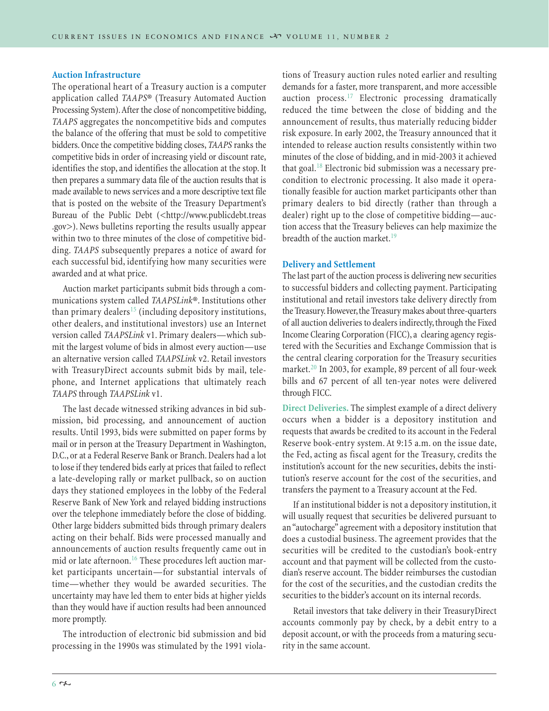# **Auction Infrastructure**

The operational heart of a Treasury auction is a computer application called *TAAPS*® (Treasury Automated Auction Processing System).After the close of noncompetitive bidding, *TAAPS* aggregates the noncompetitive bids and computes the balance of the offering that must be sold to competitive bidders. Once the competitive bidding closes, *TAAPS* ranks the competitive bids in order of increasing yield or discount rate, identifies the stop, and identifies the allocation at the stop. It then prepares a summary data file of the auction results that is made available to news services and a more descriptive text file that is posted on the website of the Treasury Department's Bureau of the Public Debt (<http://www.publicdebt.treas .gov>). News bulletins reporting the results usually appear within two to three minutes of the close of competitive bidding. *TAAPS* subsequently prepares a notice of award for each successful bid, identifying how many securities were awarded and at what price.

Auction market participants submit bids through a communications system called *TAAPSLink*®. Institutions other than primary dealers<sup>15</sup> (including depository institutions, other dealers, and institutional investors) use an Internet version called *TAAPSLink* v1. Primary dealers—which submit the largest volume of bids in almost every auction—use an alternative version called *TAAPSLink* v2. Retail investors with TreasuryDirect accounts submit bids by mail, telephone, and Internet applications that ultimately reach *TAAPS* through *TAAPSLink* v1.

The last decade witnessed striking advances in bid submission, bid processing, and announcement of auction results. Until 1993, bids were submitted on paper forms by mail or in person at the Treasury Department in Washington, D.C., or at a Federal Reserve Bank or Branch. Dealers had a lot to lose if they tendered bids early at prices that failed to reflect a late-developing rally or market pullback, so on auction days they stationed employees in the lobby of the Federal Reserve Bank of New York and relayed bidding instructions over the telephone immediately before the close of bidding. Other large bidders submitted bids through primary dealers acting on their behalf. Bids were processed manually and announcements of auction results frequently came out in mid or late afternoon.<sup>16</sup> These procedures left auction market participants uncertain—for substantial intervals of time—whether they would be awarded securities. The uncertainty may have led them to enter bids at higher yields than they would have if auction results had been announced more promptly.

The introduction of electronic bid submission and bid processing in the 1990s was stimulated by the 1991 violations of Treasury auction rules noted earlier and resulting demands for a faster, more transparent, and more accessible auction process.<sup>17</sup> Electronic processing dramatically reduced the time between the close of bidding and the announcement of results, thus materially reducing bidder risk exposure. In early 2002, the Treasury announced that it intended to release auction results consistently within two minutes of the close of bidding, and in mid-2003 it achieved that goal.<sup>18</sup> Electronic bid submission was a necessary precondition to electronic processing. It also made it operationally feasible for auction market participants other than primary dealers to bid directly (rather than through a dealer) right up to the close of competitive bidding—auction access that the Treasury believes can help maximize the breadth of the auction market.<sup>19</sup>

# **Delivery and Settlement**

The last part of the auction process is delivering new securities to successful bidders and collecting payment. Participating institutional and retail investors take delivery directly from the Treasury. However, the Treasury makes about three-quarters of all auction deliveries to dealers indirectly, through the Fixed Income Clearing Corporation (FICC), a clearing agency registered with the Securities and Exchange Commission that is the central clearing corporation for the Treasury securities market.<sup>20</sup> In 2003, for example, 89 percent of all four-week bills and 67 percent of all ten-year notes were delivered through FICC.

**Direct Deliveries.** The simplest example of a direct delivery occurs when a bidder is a depository institution and requests that awards be credited to its account in the Federal Reserve book-entry system. At 9:15 a.m. on the issue date, the Fed, acting as fiscal agent for the Treasury, credits the institution's account for the new securities, debits the institution's reserve account for the cost of the securities, and transfers the payment to a Treasury account at the Fed.

If an institutional bidder is not a depository institution, it will usually request that securities be delivered pursuant to an "autocharge" agreement with a depository institution that does a custodial business. The agreement provides that the securities will be credited to the custodian's book-entry account and that payment will be collected from the custodian's reserve account. The bidder reimburses the custodian for the cost of the securities, and the custodian credits the securities to the bidder's account on its internal records.

Retail investors that take delivery in their TreasuryDirect accounts commonly pay by check, by a debit entry to a deposit account, or with the proceeds from a maturing security in the same account.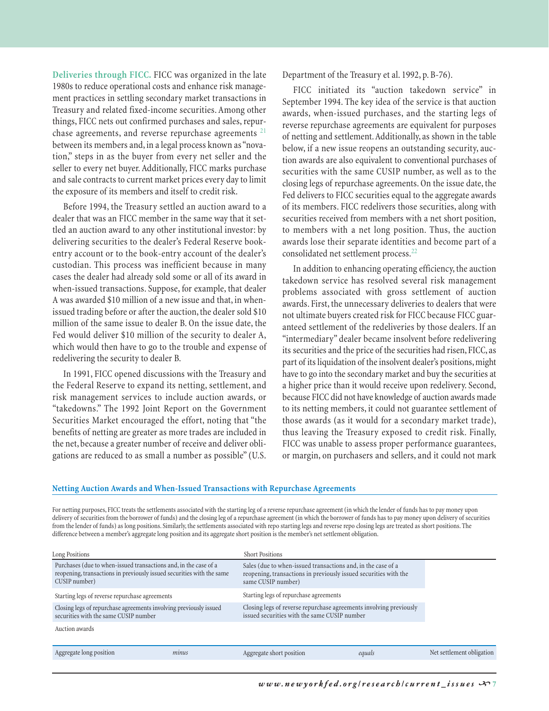**Deliveries through FICC.** FICC was organized in the late 1980s to reduce operational costs and enhance risk management practices in settling secondary market transactions in Treasury and related fixed-income securities. Among other things, FICC nets out confirmed purchases and sales, repurchase agreements, and reverse repurchase agreements<sup>21</sup> between its members and, in a legal process known as "novation," steps in as the buyer from every net seller and the seller to every net buyer. Additionally, FICC marks purchase and sale contracts to current market prices every day to limit the exposure of its members and itself to credit risk.

Before 1994, the Treasury settled an auction award to a dealer that was an FICC member in the same way that it settled an auction award to any other institutional investor: by delivering securities to the dealer's Federal Reserve bookentry account or to the book-entry account of the dealer's custodian. This process was inefficient because in many cases the dealer had already sold some or all of its award in when-issued transactions. Suppose, for example, that dealer A was awarded \$10 million of a new issue and that, in whenissued trading before or after the auction, the dealer sold \$10 million of the same issue to dealer B. On the issue date, the Fed would deliver \$10 million of the security to dealer A, which would then have to go to the trouble and expense of redelivering the security to dealer B.

In 1991, FICC opened discussions with the Treasury and the Federal Reserve to expand its netting, settlement, and risk management services to include auction awards, or "takedowns." The 1992 Joint Report on the Government Securities Market encouraged the effort, noting that "the benefits of netting are greater as more trades are included in the net, because a greater number of receive and deliver obligations are reduced to as small a number as possible" (U.S. Department of the Treasury et al. 1992, p. B-76).

FICC initiated its "auction takedown service" in September 1994. The key idea of the service is that auction awards, when-issued purchases, and the starting legs of reverse repurchase agreements are equivalent for purposes of netting and settlement. Additionally, as shown in the table below, if a new issue reopens an outstanding security, auction awards are also equivalent to conventional purchases of securities with the same CUSIP number, as well as to the closing legs of repurchase agreements. On the issue date, the Fed delivers to FICC securities equal to the aggregate awards of its members. FICC redelivers those securities, along with securities received from members with a net short position, to members with a net long position. Thus, the auction awards lose their separate identities and become part of a consolidated net settlement process.<sup>22</sup>

In addition to enhancing operating efficiency, the auction takedown service has resolved several risk management problems associated with gross settlement of auction awards. First, the unnecessary deliveries to dealers that were not ultimate buyers created risk for FICC because FICC guaranteed settlement of the redeliveries by those dealers. If an "intermediary" dealer became insolvent before redelivering its securities and the price of the securities had risen, FICC, as part of its liquidation of the insolvent dealer's positions, might have to go into the secondary market and buy the securities at a higher price than it would receive upon redelivery. Second, because FICC did not have knowledge of auction awards made to its netting members, it could not guarantee settlement of those awards (as it would for a secondary market trade), thus leaving the Treasury exposed to credit risk. Finally, FICC was unable to assess proper performance guarantees, or margin, on purchasers and sellers, and it could not mark

### **Netting Auction Awards and When-Issued Transactions with Repurchase Agreements**

For netting purposes, FICC treats the settlements associated with the starting leg of a reverse repurchase agreement (in which the lender of funds has to pay money upon delivery of securities from the borrower of funds) and the closing leg of a repurchase agreement (in which the borrower of funds has to pay money upon delivery of securities from the lender of funds) as long positions. Similarly, the settlements associated with repo starting legs and reverse repo closing legs are treated as short positions. The difference between a member's aggregate long position and its aggregate short position is the member's net settlement obligation.

| reopening, transactions in previously issued securities with the   |
|--------------------------------------------------------------------|
|                                                                    |
| Closing legs of reverse repurchase agreements involving previously |
|                                                                    |
|                                                                    |
| Net settlement obligation                                          |
|                                                                    |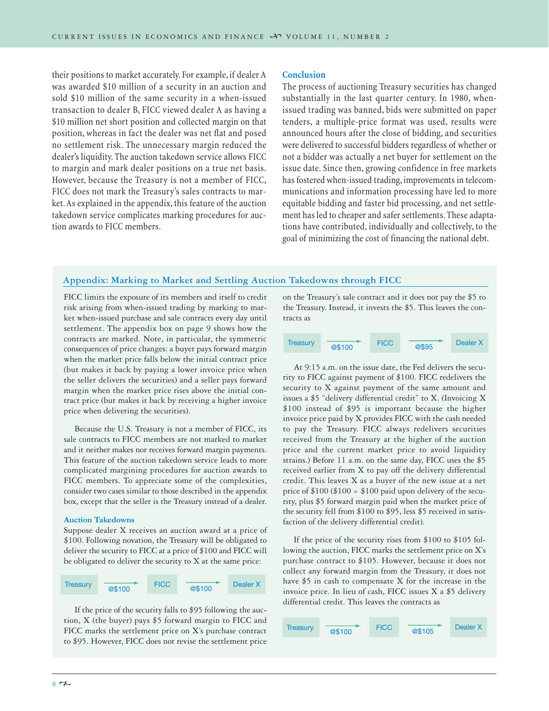their positions to market accurately. For example, if dealer A was awarded \$10 million of a security in an auction and sold \$10 million of the same security in a when-issued transaction to dealer B, FICC viewed dealer A as having a \$10 million net short position and collected margin on that position, whereas in fact the dealer was net flat and posed no settlement risk. The unnecessary margin reduced the dealer's liquidity. The auction takedown service allows FICC to margin and mark dealer positions on a true net basis. However, because the Treasury is not a member of FICC, FICC does not mark the Treasury's sales contracts to market. As explained in the appendix, this feature of the auction takedown service complicates marking procedures for auction awards to FICC members.

#### **Conclusion**

The process of auctioning Treasury securities has changed substantially in the last quarter century. In 1980, whenissued trading was banned, bids were submitted on paper tenders, a multiple-price format was used, results were announced hours after the close of bidding, and securities were delivered to successful bidders regardless of whether or not a bidder was actually a net buyer for settlement on the issue date. Since then, growing confidence in free markets has fostered when-issued trading, improvements in telecommunications and information processing have led to more equitable bidding and faster bid processing, and net settlement has led to cheaper and safer settlements. These adaptations have contributed, individually and collectively, to the goal of minimizing the cost of financing the national debt.

# **Appendix: Marking to Market and Settling Auction Takedowns through FICC**

FICC limits the exposure of its members and itself to credit risk arising from when-issued trading by marking to market when-issued purchase and sale contracts every day until settlement. The appendix box on page 9 shows how the contracts are marked. Note, in particular, the symmetric consequences of price changes: a buyer pays forward margin when the market price falls below the initial contract price (but makes it back by paying a lower invoice price when the seller delivers the securities) and a seller pays forward margin when the market price rises above the initial contract price (but makes it back by receiving a higher invoice price when delivering the securities).

Because the U.S. Treasury is not a member of FICC, its sale contracts to FICC members are not marked to market and it neither makes nor receives forward margin payments. This feature of the auction takedown service leads to more complicated margining procedures for auction awards to FICC members. To appreciate some of the complexities, consider two cases similar to those described in the appendix box, except that the seller is the Treasury instead of a dealer.

#### **Auction Takedowns**

Suppose dealer X receives an auction award at a price of \$100. Following novation, the Treasury will be obligated to deliver the security to FICC at a price of \$100 and FICC will be obligated to deliver the security to X at the same price:

| Treasury | @\$100 | <b>FICC</b> | @\$100 | Dealer X |
|----------|--------|-------------|--------|----------|
|          |        |             |        |          |

If the price of the security falls to \$95 following the auction, X (the buyer) pays \$5 forward margin to FICC and FICC marks the settlement price on X's purchase contract to \$95. However, FICC does not revise the settlement price on the Treasury's sale contract and it does not pay the \$5 to the Treasury. Instead, it invests the \$5. This leaves the contracts as



At 9:15 a.m. on the issue date, the Fed delivers the security to FICC against payment of \$100. FICC redelivers the security to X against payment of the same amount and issues a \$5 "delivery differential credit" to X. (Invoicing X \$100 instead of \$95 is important because the higher invoice price paid by X provides FICC with the cash needed to pay the Treasury. FICC always redelivers securities received from the Treasury at the higher of the auction price and the current market price to avoid liquidity strains.) Before 11 a.m. on the same day, FICC uses the \$5 received earlier from X to pay off the delivery differential credit. This leaves X as a buyer of the new issue at a net price of  $$100 ($100 = $100$  paid upon delivery of the security, plus \$5 forward margin paid when the market price of the security fell from \$100 to \$95, less \$5 received in satisfaction of the delivery differential credit).

If the price of the security rises from \$100 to \$105 following the auction, FICC marks the settlement price on X's purchase contract to \$105. However, because it does not collect any forward margin from the Treasury, it does not have \$5 in cash to compensate X for the increase in the invoice price. In lieu of cash, FICC issues X a \$5 delivery differential credit. This leaves the contracts as

| <b>Treasury</b> | @\$100 | <b>FICC</b> | @\$105 | Dealer X |
|-----------------|--------|-------------|--------|----------|
|                 |        |             |        |          |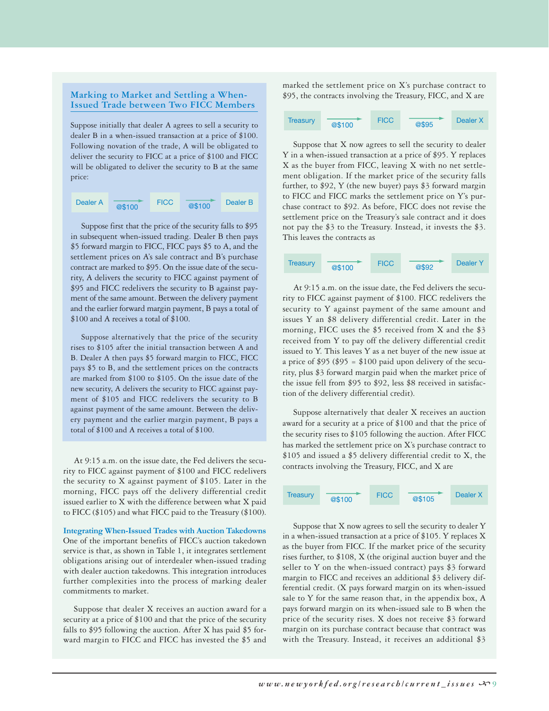#### **Marking to Market and Settling a When-Issued Trade between Two FICC Members**

Suppose initially that dealer A agrees to sell a security to dealer B in a when-issued transaction at a price of \$100. Following novation of the trade, A will be obligated to deliver the security to FICC at a price of \$100 and FICC will be obligated to deliver the security to B at the same price:

| Dealer A | @\$100 | <b>FICC</b> | @\$100 | Dealer B |
|----------|--------|-------------|--------|----------|
|----------|--------|-------------|--------|----------|

Suppose first that the price of the security falls to \$95 in subsequent when-issued trading. Dealer B then pays \$5 forward margin to FICC, FICC pays \$5 to A, and the settlement prices on A's sale contract and B's purchase contract are marked to \$95. On the issue date of the security, A delivers the security to FICC against payment of \$95 and FICC redelivers the security to B against payment of the same amount. Between the delivery payment and the earlier forward margin payment, B pays a total of \$100 and A receives a total of \$100.

Suppose alternatively that the price of the security rises to \$105 after the initial transaction between A and B. Dealer A then pays \$5 forward margin to FICC, FICC pays \$5 to B, and the settlement prices on the contracts are marked from \$100 to \$105. On the issue date of the new security, A delivers the security to FICC against payment of \$105 and FICC redelivers the security to B against payment of the same amount. Between the delivery payment and the earlier margin payment, B pays a total of \$100 and A receives a total of \$100.

At 9:15 a.m. on the issue date, the Fed delivers the security to FICC against payment of \$100 and FICC redelivers the security to X against payment of \$105. Later in the morning, FICC pays off the delivery differential credit issued earlier to X with the difference between what X paid to FICC (\$105) and what FICC paid to the Treasury (\$100).

**Integrating When-Issued Trades with Auction Takedowns** One of the important benefits of FICC's auction takedown service is that, as shown in Table 1, it integrates settlement obligations arising out of interdealer when-issued trading with dealer auction takedowns. This integration introduces further complexities into the process of marking dealer commitments to market.

Suppose that dealer X receives an auction award for a security at a price of \$100 and that the price of the security falls to \$95 following the auction. After X has paid \$5 forward margin to FICC and FICC has invested the \$5 and

marked the settlement price on X's purchase contract to \$95, the contracts involving the Treasury, FICC, and X are



Suppose that X now agrees to sell the security to dealer Y in a when-issued transaction at a price of \$95. Y replaces X as the buyer from FICC, leaving X with no net settlement obligation. If the market price of the security falls further, to \$92, Y (the new buyer) pays \$3 forward margin to FICC and FICC marks the settlement price on Y's purchase contract to \$92. As before, FICC does not revise the settlement price on the Treasury's sale contract and it does not pay the \$3 to the Treasury. Instead, it invests the \$3. This leaves the contracts as



At 9:15 a.m. on the issue date, the Fed delivers the security to FICC against payment of \$100. FICC redelivers the security to Y against payment of the same amount and issues Y an \$8 delivery differential credit. Later in the morning, FICC uses the \$5 received from X and the \$3 received from Y to pay off the delivery differential credit issued to Y. This leaves Y as a net buyer of the new issue at a price of \$95 (\$95 = \$100 paid upon delivery of the security, plus \$3 forward margin paid when the market price of the issue fell from \$95 to \$92, less \$8 received in satisfaction of the delivery differential credit).

Suppose alternatively that dealer X receives an auction award for a security at a price of \$100 and that the price of the security rises to \$105 following the auction. After FICC has marked the settlement price on X's purchase contract to \$105 and issued a \$5 delivery differential credit to X, the contracts involving the Treasury, FICC, and X are



Suppose that X now agrees to sell the security to dealer Y in a when-issued transaction at a price of \$105. Y replaces X as the buyer from FICC. If the market price of the security rises further, to \$108, X (the original auction buyer and the seller to Y on the when-issued contract) pays \$3 forward margin to FICC and receives an additional \$3 delivery differential credit. (X pays forward margin on its when-issued sale to Y for the same reason that, in the appendix box, A pays forward margin on its when-issued sale to B when the price of the security rises. X does not receive \$3 forward margin on its purchase contract because that contract was with the Treasury. Instead, it receives an additional \$3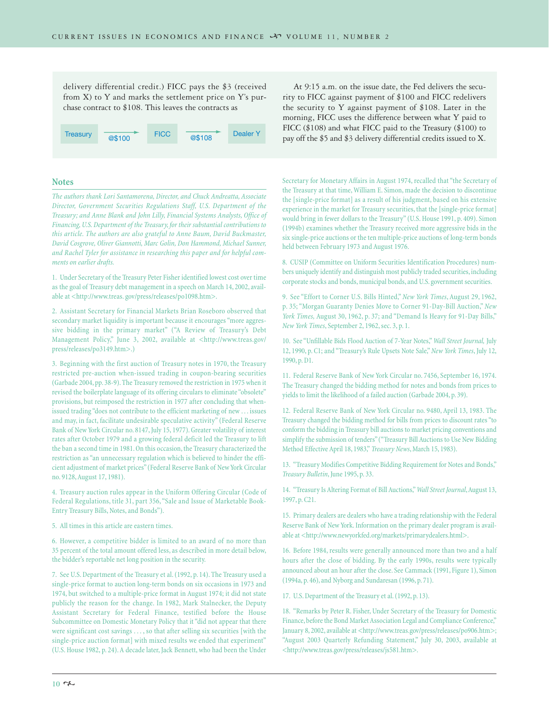delivery differential credit.) FICC pays the \$3 (received from X) to Y and marks the settlement price on Y's purchase contract to \$108. This leaves the contracts as



**Notes**

*The authors thank Lori Santamorena, Director, and Chuck Andreatta, Associate Director, Government Securities Regulations Staff, U.S. Department of the Treasury; and Anne Blank and John Lilly, Financial Systems Analysts, Office of Financing, U.S. Department of the Treasury, for their substantial contributions to this article. The authors are also grateful to Anne Baum, David Buckmaster, David Cosgrove, Oliver Giannotti, Marc Golin, Don Hammond, Michael Sunner, and Rachel Tyler for assistance in researching this paper and for helpful comments on earlier drafts.*

1. Under Secretary of the Treasury Peter Fisher identified lowest cost over time as the goal of Treasury debt management in a speech on March 14, 2002, available at <http://www.treas. gov/press/releases/po1098.htm>.

2. Assistant Secretary for Financial Markets Brian Roseboro observed that secondary market liquidity is important because it encourages "more aggressive bidding in the primary market" ("A Review of Treasury's Debt Management Policy," June 3, 2002, available at <http://www.treas.gov/ press/releases/po3149.htm>.)

3. Beginning with the first auction of Treasury notes in 1970, the Treasury restricted pre-auction when-issued trading in coupon-bearing securities (Garbade 2004, pp. 38-9). The Treasury removed the restriction in 1975 when it revised the boilerplate language of its offering circulars to eliminate "obsolete" provisions, but reimposed the restriction in 1977 after concluding that whenissued trading "does not contribute to the efficient marketing of new . . . issues and may, in fact, facilitate undesirable speculative activity" (Federal Reserve Bank of New York Circular no. 8147, July 15, 1977). Greater volatility of interest rates after October 1979 and a growing federal deficit led the Treasury to lift the ban a second time in 1981. On this occasion, the Treasury characterized the restriction as "an unnecessary regulation which is believed to hinder the efficient adjustment of market prices" (Federal Reserve Bank of New York Circular no. 9128, August 17, 1981).

4. Treasury auction rules appear in the Uniform Offering Circular (Code of Federal Regulations, title 31, part 356, "Sale and Issue of Marketable Book-Entry Treasury Bills, Notes, and Bonds").

5. All times in this article are eastern times.

6. However, a competitive bidder is limited to an award of no more than 35 percent of the total amount offered less, as described in more detail below, the bidder's reportable net long position in the security.

7. See U.S. Department of the Treasury et al. (1992, p. 14). The Treasury used a single-price format to auction long-term bonds on six occasions in 1973 and 1974, but switched to a multiple-price format in August 1974; it did not state publicly the reason for the change. In 1982, Mark Stalnecker, the Deputy Assistant Secretary for Federal Finance, testified before the House Subcommittee on Domestic Monetary Policy that it "did not appear that there were significant cost savings . . . , so that after selling six securities [with the single-price auction format] with mixed results we ended that experiment" (U.S. House 1982, p. 24). A decade later, Jack Bennett, who had been the Under

At 9:15 a.m. on the issue date, the Fed delivers the security to FICC against payment of \$100 and FICC redelivers the security to Y against payment of \$108. Later in the morning, FICC uses the difference between what Y paid to FICC (\$108) and what FICC paid to the Treasury (\$100) to

Secretary for Monetary Affairs in August 1974, recalled that "the Secretary of the Treasury at that time, William E. Simon, made the decision to discontinue the [single-price format] as a result of his judgment, based on his extensive experience in the market for Treasury securities, that the [single-price format] would bring in fewer dollars to the Treasury" (U.S. House 1991, p. 409). Simon (1994b) examines whether the Treasury received more aggressive bids in the six single-price auctions or the ten multiple-price auctions of long-term bonds held between February 1973 and August 1976.

8. CUSIP (Committee on Uniform Securities Identification Procedures) numbers uniquely identify and distinguish most publicly traded securities, including corporate stocks and bonds, municipal bonds, and U.S. government securities.

9. See "Effort to Corner U.S. Bills Hinted," *New York Times*, August 29, 1962, p. 35; "Morgan Guaranty Denies Move to Corner 91-Day-Bill Auction," *New York Times,* August 30, 1962, p. 37; and "Demand Is Heavy for 91-Day Bills," *New York Times*, September 2, 1962, sec. 3, p. 1.

10. See "Unfillable Bids Flood Auction of 7-Year Notes,"*Wall Street Journal,* July 12, 1990, p. C1; and "Treasury's Rule Upsets Note Sale,"*New York Times*, July 12, 1990, p. D1.

11. Federal Reserve Bank of New York Circular no. 7456, September 16, 1974. The Treasury changed the bidding method for notes and bonds from prices to yields to limit the likelihood of a failed auction (Garbade 2004, p. 39).

12. Federal Reserve Bank of New York Circular no. 9480, April 13, 1983. The Treasury changed the bidding method for bills from prices to discount rates "to conform the bidding in Treasury bill auctions to market pricing conventions and simplify the submission of tenders" ("Treasury Bill Auctions to Use New Bidding Method Effective April 18, 1983," *Treasury News*, March 15, 1983).

13. "Treasury Modifies Competitive Bidding Requirement for Notes and Bonds," *Treasury Bulletin*, June 1995, p. 33.

14. "Treasury Is Altering Format of Bill Auctions,"*Wall Street Journal*,August 13, 1997, p. C21.

15. Primary dealers are dealers who have a trading relationship with the Federal Reserve Bank of New York. Information on the primary dealer program is available at <http://www.newyorkfed.org/markets/primarydealers.html>.

16. Before 1984, results were generally announced more than two and a half hours after the close of bidding. By the early 1990s, results were typically announced about an hour after the close. See Cammack (1991, Figure 1), Simon (1994a, p. 46), and Nyborg and Sundaresan (1996, p. 71).

17. U.S. Department of the Treasury et al. (1992, p. 13).

18. "Remarks by Peter R. Fisher, Under Secretary of the Treasury for Domestic Finance, before the Bond Market Association Legal and Compliance Conference," January 8, 2002, available at <http://www.treas.gov/press/releases/po906.htm>; "August 2003 Quarterly Refunding Statement," July 30, 2003, available at <http://www.treas.gov/press/releases/js581.htm>.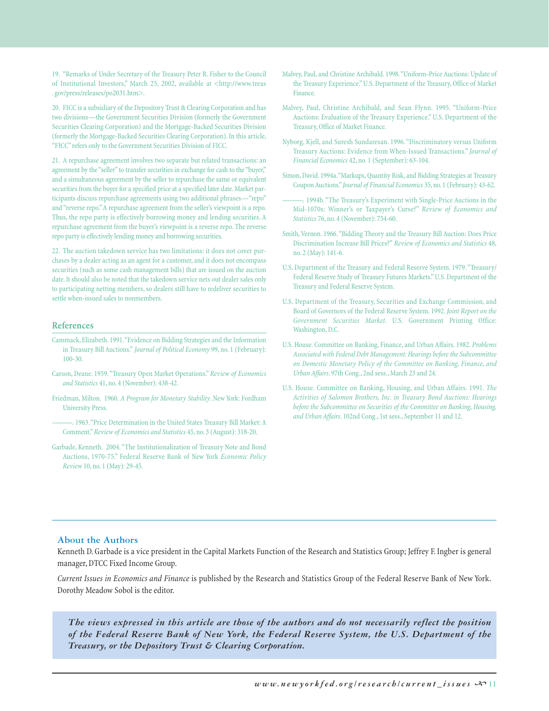19. "Remarks of Under Secretary of the Treasury Peter R. Fisher to the Council of Institutional Investors," March 25, 2002, available at <http://www.treas . gov/press/releases/po2031.htm>.

20. FICC is a subsidiary of the Depository Trust & Clearing Corporation and has two divisions—the Government Securities Division (formerly the Government Securities Clearing Corporation) and the Mortgage-Backed Securities Division (formerly the Mortgage-Backed Securities Clearing Corporation). In this article, "FICC" refers only to the Government Securities Division of FICC.

21. A repurchase agreement involves two separate but related transactions: an agreement by the "seller" to transfer securities in exchange for cash to the "buyer," and a simultaneous agreement by the seller to repurchase the same or equivalent securities from the buyer for a specified price at a specified later date. Market participants discuss repurchase agreements using two additional phrases—"repo" and "reverse repo." A repurchase agreement from the seller's viewpoint is a repo. Thus, the repo party is effectively borrowing money and lending securities. A repurchase agreement from the buyer's viewpoint is a reverse repo. The reverse repo party is effectively lending money and borrowing securities.

22. The auction takedown service has two limitations: it does not cover purchases by a dealer acting as an agent for a customer, and it does not encompass securities (such as some cash management bills) that are issued on the auction date. It should also be noted that the takedown service nets out dealer sales only to participating netting members, so dealers still have to redeliver securities to settle when-issued sales to nonmembers.

#### **References**

- Cammack, Elizabeth. 1991."Evidence on Bidding Strategies and the Information in Treasury Bill Auctions." *Journal of Political Economy* 99, no. 1 (February): 100-30.
- Carson, Deane. 1959."Treasury Open Market Operations." *Review of Economics and Statistics* 41, no. 4 (November): 438-42.
- Friedman, Milton. 1960. *A Program for Monetary Stability*. New York: Fordham University Press.
	- -. 1963. "Price Determination in the United States Treasury Bill Market: A Comment."*Review of Economics and Statistics* 45, no. 3 (August): 318-20.
- Garbade, Kenneth. 2004."The Institutionalization of Treasury Note and Bond Auctions, 1970-75." Federal Reserve Bank of New York *Economic Policy Review* 10, no. 1 (May): 29-45.
- Malvey, Paul, and Christine Archibald. 1998."Uniform-Price Auctions: Update of the Treasury Experience." U.S. Department of the Treasury, Office of Market Finance.
- Malvey, Paul, Christine Archibald, and Sean Flynn. 1995. "Uniform-Price Auctions: Evaluation of the Treasury Experience." U.S. Department of the Treasury, Office of Market Finance.
- Nyborg, Kjell, and Suresh Sundaresan. 1996. "Discriminatory versus Uniform Treasury Auctions: Evidence from When-Issued Transactions."*Journal of Financial Economics* 42, no. 1 (September): 63-104.
- Simon, David. 1994a."Markups, Quantity Risk, and Bidding Strategies at Treasury Coupon Auctions."*Journal of Financial Economics* 35, no. 1 (February): 43-62.
- -. 1994b. "The Treasury's Experiment with Single-Price Auctions in the Mid-1070s: Winner's or Taxpayer's Curse?" *Review of Economics and Statistics* 76, no. 4 (November): 754-60.
- Smith, Vernon. 1966."Bidding Theory and the Treasury Bill Auction: Does Price Discrimination Increase Bill Prices?" *Review of Economics and Statistics* 48, no. 2 (May): 141-6.
- U.S. Department of the Treasury and Federal Reserve System. 1979."Treasury/ Federal Reserve Study of Treasury Futures Markets." U.S. Department of the Treasury and Federal Reserve System.
- U.S. Department of the Treasury, Securities and Exchange Commission, and Board of Governors of the Federal Reserve System. 1992. *Joint Report on the Government Securities Market*. U.S. Government Printing Office: Washington, D.C.
- U.S. House. Committee on Banking, Finance, and Urban Affairs. 1982. *Problems Associated with Federal Debt Management: Hearings before the Subcommittee on Domestic Monetary Policy of the Committee on Banking, Finance, and Urban Affairs*. 97th Cong., 2nd sess., March 23 and 24.
- U.S. House. Committee on Banking, Housing, and Urban Affairs. 1991. *The Activities of Salomon Brothers, Inc. in Treasury Bond Auctions: Hearings before the Subcommittee on Securities of the Committee on Banking, Housing, and Urban Affairs*. 102nd Cong., 1st sess., September 11 and 12.

#### **About the Authors**

Kenneth D. Garbade is a vice president in the Capital Markets Function of the Research and Statistics Group; Jeffrey F. Ingber is general manager, DTCC Fixed Income Group.

*Current Issues in Economics and Finance* is published by the Research and Statistics Group of the Federal Reserve Bank of New York. Dorothy Meadow Sobol is the editor.

*The views expressed in this article are those of the authors and do not necessarily reflect the position of the Federal Reserve Bank of New York, the Federal Reserve System, the U.S. Department of the Treasury, or the Depository Trust & Clearing Corporation.*